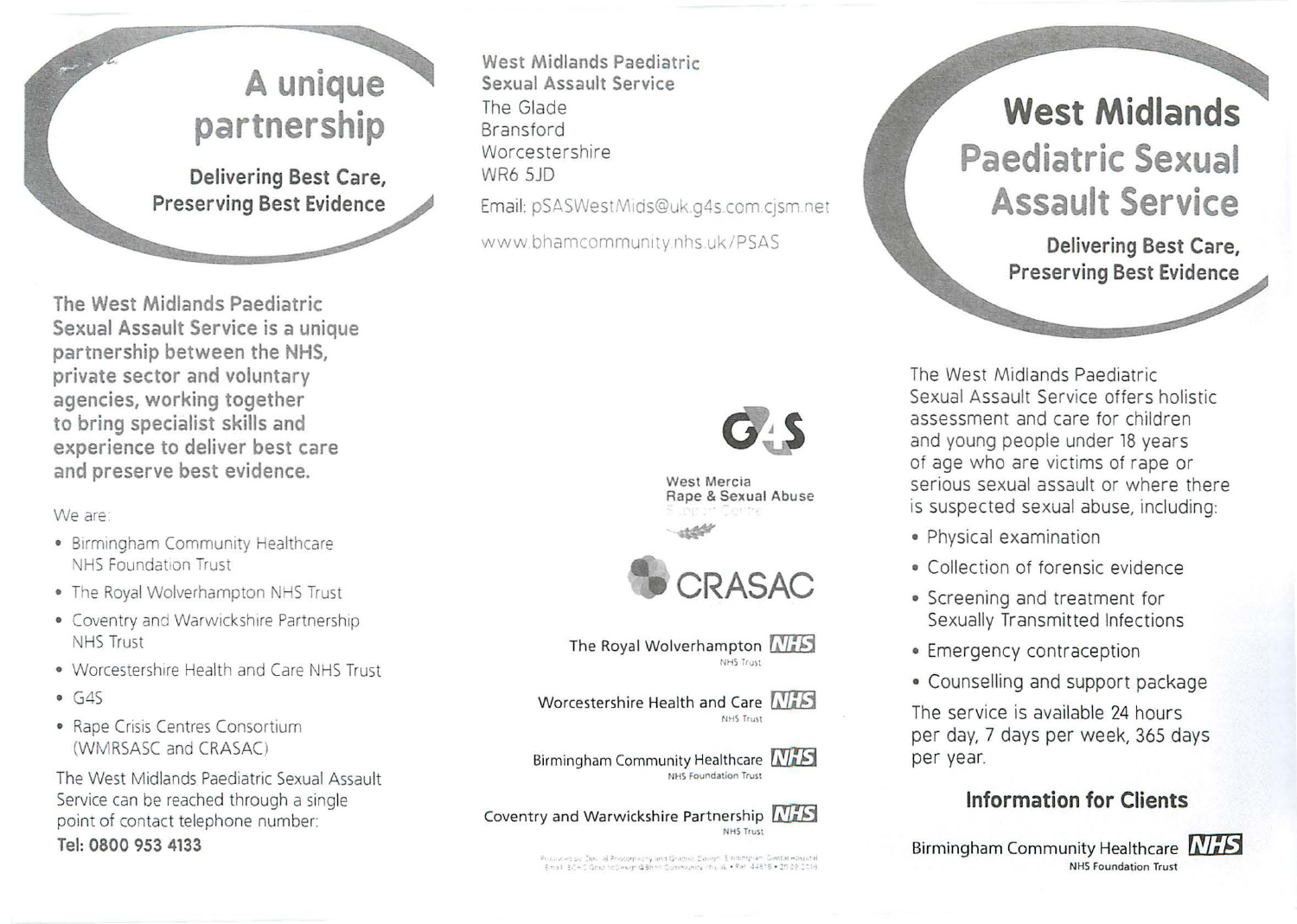# **A unique partnership**

**Delivering Best Care, Preserving Best Evidence** 

**The West Midlands Paediatric Sexual Assault Service is a unique partnership between the NHS, private sector and voluntary agencies, working together to bring specialist skills and experience to deliver best care and preserve best evidence.** 

We are:

- Birmingham Community Healthcare NHS Foundation Trust
- The Royal Wolverhampton NHS Trust
- Coventry and Warwickshire Partnership NHS Trust
- Worcestershire Health and Care NHS Trust
- $-6.45$
- Rape Crisis Centres Consortium (WMRSASC and CRASAC)

The West Midlands Paediatric Sexual Assault Service can be reached through a single point of contact telephone number: **Tel: 0800 953 4133** 

**West Midlands Paediatric Sexual Assault Service**  The Glade Bransford Worcestershire WR6 SJD Email: pSASWestMids@uk.q4s.com.cjsm.net

www.bhamcommunity.nhs.uk/PSAS



West Mercia Rape & Sexual Abuse



The Royal Wolverhampton  $\sqrt{N+5}$ NHS Trust

Worcestershire Health and Care  $\sqrt{MS}$ NHS Trust

Birmingham Community Healthcare **MiS** NHS Foundation Trust



.<br>For all interest on the section of the state of the section of the section of the section of the section of th<br>Final interest of the section of the section of the section of the section of the section of the section of t

# **West Midlands Paediatric Sexual Assault Service**

**Delivering Best Care, Preserving Best Evidence** 

The West Midlands Paediatric Sexual Assault Service offers holistic assessment and care for children and young people under 18 years of age who are victims of rape or serious sexual assault or where there is suspected sexual abuse, including:

- Physical examination
- Collection of forensic evidence
- Screening and treatment for Sexually Transmitted Infections
- Emergency contraception
- Counselling and support package

The service is available 24 hours per day, 7 days per week, 365 days per year.

# **Information for Clients**

Birmingham Community Healthcare **NHS** NHS Foundation Trust